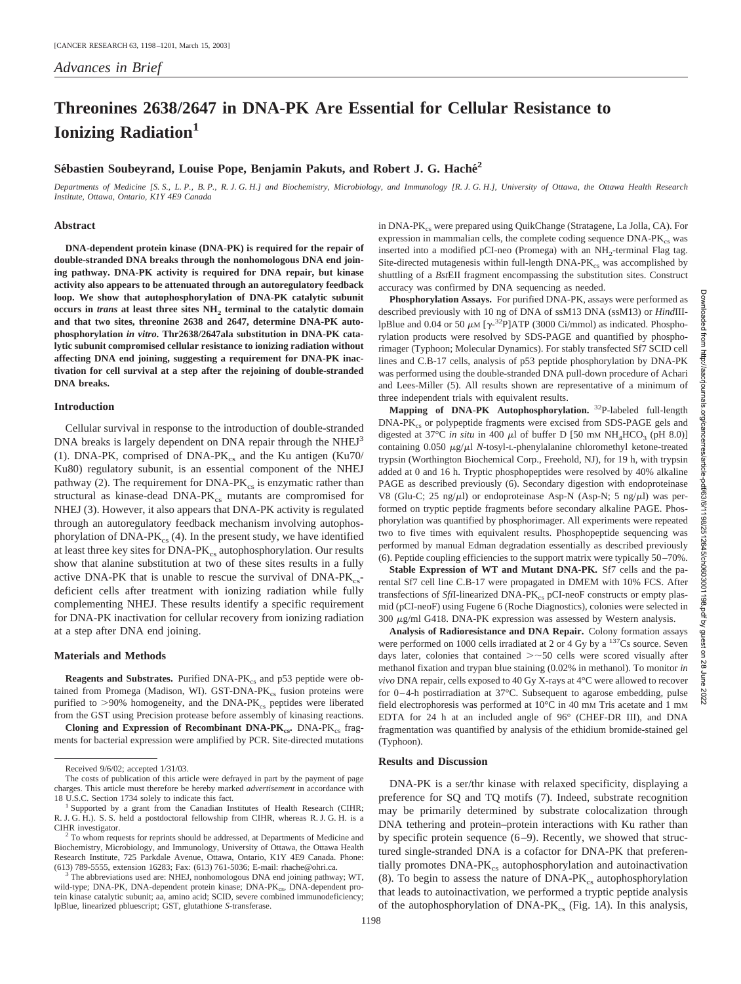# **Threonines 2638/2647 in DNA-PK Are Essential for Cellular Resistance to Ionizing Radiation<sup>1</sup>**

# Sébastien Soubeyrand, Louise Pope, Benjamin Pakuts, and Robert J. G. Haché<sup>2</sup>

*Departments of Medicine [S. S., L. P., B. P., R. J. G. H.] and Biochemistry, Microbiology, and Immunology [R. J. G. H.], University of Ottawa, the Ottawa Health Research Institute, Ottawa, Ontario, K1Y 4E9 Canada*

#### **Abstract**

**DNA-dependent protein kinase (DNA-PK) is required for the repair of double-stranded DNA breaks through the nonhomologous DNA end joining pathway. DNA-PK activity is required for DNA repair, but kinase activity also appears to be attenuated through an autoregulatory feedback loop. We show that autophosphorylation of DNA-PK catalytic subunit occurs in** *trans* **at least three sites NH<sub>2</sub> terminal to the catalytic domain and that two sites, threonine 2638 and 2647, determine DNA-PK autophosphorylation** *in vitro***. Thr2638/2647ala substitution in DNA-PK catalytic subunit compromised cellular resistance to ionizing radiation without affecting DNA end joining, suggesting a requirement for DNA-PK inactivation for cell survival at a step after the rejoining of double-stranded DNA breaks.**

## **Introduction**

Cellular survival in response to the introduction of double-stranded DNA breaks is largely dependent on DNA repair through the NHEJ<sup>3</sup> (1). DNA-PK, comprised of DNA-PK $_{cs}$  and the Ku antigen (Ku70/ Ku80) regulatory subunit, is an essential component of the NHEJ pathway (2). The requirement for  $DNA-PK_{cs}$  is enzymatic rather than structural as kinase-dead  $DNA-PK_{cs}$  mutants are compromised for NHEJ (3). However, it also appears that DNA-PK activity is regulated through an autoregulatory feedback mechanism involving autophosphorylation of  $DNA-PK_{cs}$  (4). In the present study, we have identified at least three key sites for DNA-PK<sub>cs</sub> autophosphorylation. Our results show that alanine substitution at two of these sites results in a fully active DNA-PK that is unable to rescue the survival of  $DNA-PK_{cs}$ deficient cells after treatment with ionizing radiation while fully complementing NHEJ. These results identify a specific requirement for DNA-PK inactivation for cellular recovery from ionizing radiation at a step after DNA end joining.

#### **Materials and Methods**

**Reagents and Substrates.** Purified DNA-PK<sub>cs</sub> and p53 peptide were obtained from Promega (Madison, WI). GST-DNA-P $K_{cs}$  fusion proteins were purified to  $>90\%$  homogeneity, and the DNA-PK<sub>cs</sub> peptides were liberated from the GST using Precision protease before assembly of kinasing reactions.

**Cloning and Expression of Recombinant DNA-PK<sub>cs</sub>.** DNA-PK<sub>cs</sub> fragments for bacterial expression were amplified by PCR. Site-directed mutations

Downloaded from http://aacrjournals.org/cancerres/article-pdf/63/6/1198/2512645/ch0603001198.pdf by guest on 28 June 2022http://aacrjournals.org/cancer res/article-pdf/63/6/1198/2512645/ch06030011 198.pdf by guest  $\overline{S}$ 82 June

Jownloaded

mom

in DNA-PK<sub>cs</sub> were prepared using QuikChange (Stratagene, La Jolla, CA). For expression in mammalian cells, the complete coding sequence  $DNA-PK_{cs}$  was inserted into a modified pCI-neo (Promega) with an  $NH<sub>2</sub>$ -terminal Flag tag. Site-directed mutagenesis within full-length  $DNA-PK_{cs}$  was accomplished by shuttling of a *Bst*EII fragment encompassing the substitution sites. Construct accuracy was confirmed by DNA sequencing as needed.

**Phosphorylation Assays.** For purified DNA-PK, assays were performed as described previously with 10 ng of DNA of ssM13 DNA (ssM13) or *Hind*IIIlpBlue and 0.04 or 50  $\mu$ M [ $\gamma$ -<sup>32</sup>P]ATP (3000 Ci/mmol) as indicated. Phosphorylation products were resolved by SDS-PAGE and quantified by phosphorimager (Typhoon; Molecular Dynamics). For stably transfected Sf7 SCID cell lines and C.B-17 cells, analysis of p53 peptide phosphorylation by DNA-PK was performed using the double-stranded DNA pull-down procedure of Achari and Lees-Miller (5). All results shown are representative of a minimum of three independent trials with equivalent results.

**Mapping of DNA-PK Autophosphorylation.** 32P-labeled full-length DNA-PK<sub>cs</sub> or polypeptide fragments were excised from SDS-PAGE gels and digested at 37°C *in situ* in 400  $\mu$ l of buffer D [50 mm NH<sub>4</sub>HCO<sub>3</sub> (pH 8.0)] containing  $0.050 \mu g/\mu l$  *N*-tosyl-L-phenylalanine chloromethyl ketone-treated trypsin (Worthington Biochemical Corp., Freehold, NJ), for 19 h, with trypsin added at 0 and 16 h. Tryptic phosphopeptides were resolved by 40% alkaline PAGE as described previously (6). Secondary digestion with endoproteinase V8 (Glu-C; 25 ng/ $\mu$ l) or endoproteinase Asp-N (Asp-N; 5 ng/ $\mu$ l) was performed on tryptic peptide fragments before secondary alkaline PAGE. Phosphorylation was quantified by phosphorimager. All experiments were repeated two to five times with equivalent results. Phosphopeptide sequencing was performed by manual Edman degradation essentially as described previously (6). Peptide coupling efficiencies to the support matrix were typically 50–70%.

**Stable Expression of WT and Mutant DNA-PK.** Sf7 cells and the parental Sf7 cell line C.B-17 were propagated in DMEM with 10% FCS. After transfections of *Sfi*I-linearized DNA-PK<sub>cs</sub> pCI-neoF constructs or empty plasmid (pCI-neoF) using Fugene 6 (Roche Diagnostics), colonies were selected in  $300 \mu g/ml$  G418. DNA-PK expression was assessed by Western analysis.

**Analysis of Radioresistance and DNA Repair.** Colony formation assays were performed on 1000 cells irradiated at 2 or 4 Gy by a <sup>137</sup>Cs source. Seven days later, colonies that contained  $\geq$  -50 cells were scored visually after methanol fixation and trypan blue staining (0.02% in methanol). To monitor *in vivo* DNA repair, cells exposed to 40 Gy X-rays at 4°C were allowed to recover for 0–4-h postirradiation at 37°C. Subsequent to agarose embedding, pulse field electrophoresis was performed at 10°C in 40 mM Tris acetate and 1 mM EDTA for 24 h at an included angle of 96° (CHEF-DR III), and DNA fragmentation was quantified by analysis of the ethidium bromide-stained gel (Typhoon).

### **Results and Discussion**

DNA-PK is a ser/thr kinase with relaxed specificity, displaying a preference for SQ and TQ motifs (7). Indeed, substrate recognition may be primarily determined by substrate colocalization through DNA tethering and protein–protein interactions with Ku rather than by specific protein sequence (6–9). Recently, we showed that structured single-stranded DNA is a cofactor for DNA-PK that preferentially promotes DNA-PK<sub>cs</sub> autophosphorylation and autoinactivation (8). To begin to assess the nature of DNA-PK $_{\rm cs}$  autophosphorylation that leads to autoinactivation, we performed a tryptic peptide analysis of the autophosphorylation of  $DNA-PK_{cs}$  (Fig. 1*A*). In this analysis,

Received 9/6/02; accepted 1/31/03.

The costs of publication of this article were defrayed in part by the payment of page charges. This article must therefore be hereby marked *advertisement* in accordance with 18 U.S.C. Section 1734 solely to indicate this fact. <sup>1</sup> Supported by a grant from the Canadian Institutes of Health Research (CIHR;

R. J. G. H.). S. S. held a postdoctoral fellowship from CIHR, whereas R. J. G. H. is a CIHR investigator.<br><sup>2</sup> To whom requests for reprints should be addressed, at Departments of Medicine and

Biochemistry, Microbiology, and Immunology, University of Ottawa, the Ottawa Health Research Institute, 725 Parkdale Avenue, Ottawa, Ontario, K1Y 4E9 Canada. Phone: (613) 789-5555, extension 16283; Fax: (613) 761-5036; E-mail: rhache@ohri.ca.

The abbreviations used are: NHEJ, nonhomologous DNA end joining pathway; WT, wild-type; DNA-PK, DNA-dependent protein kinase; DNA-PK<sub>cs</sub>, DNA-dependent protein kinase catalytic subunit; aa, amino acid; SCID, severe combined immunodeficiency; lpBlue, linearized pbluescript; GST, glutathione *S*-transferase.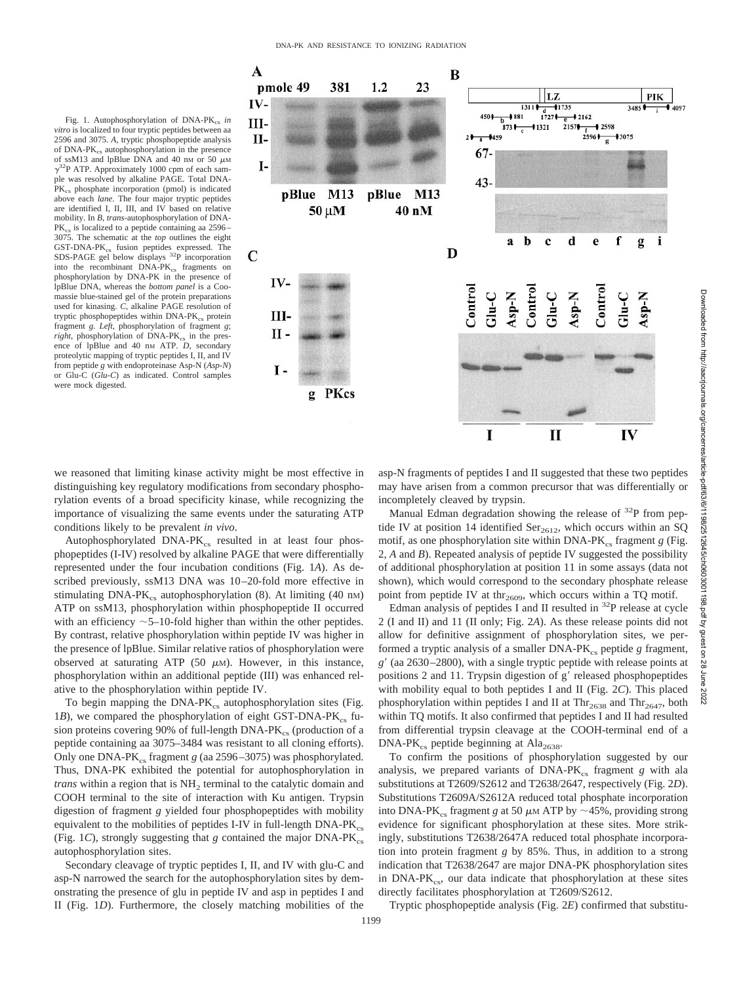Fig. 1. Autophosphorylation of DNA-PK<sub>cs</sub> in *vitro* is localized to four tryptic peptides between aa 2596 and 3075. *A,* tryptic phosphopeptide analysis of  $DNA-PK_c$  autophosphorylation in the presence of ssM13 and lpBlue DNA and 40 nM or 50  $\mu$ M  $\gamma^{32}P$  ATP. Approximately 1000 cpm of each sample was resolved by alkaline PAGE. Total DNA-PK<sub>cs</sub> phosphate incorporation (pmol) is indicated above each *lane*. The four major tryptic peptides are identified I, II, III, and IV based on relative mobility. In *B, trans*-autophosphorylation of DNA- $PK_{cs}$  is localized to a peptide containing aa 2596– 3075. The schematic at the *top* outlines the eight GST-DNA-PK<sub>cs</sub> fusion peptides expressed. The SDS-PAGE gel below displays 32P incorporation into the recombinant DNA-PK<sub>cs</sub> fragments on phosphorylation by DNA-PK in the presence of lpBlue DNA, whereas the *bottom panel* is a Coomassie blue-stained gel of the protein preparations used for kinasing. *C,* alkaline PAGE resolution of tryptic phosphopeptides within DNA-PK $_{\rm cs}$  protein fragment *g*. *Left,* phosphorylation of fragment *g*; right, phosphorylation of DNA-PK<sub>cs</sub> in the presence of lpBlue and 40 nm ATP. *D*, secondary proteolytic mapping of tryptic peptides I, II, and IV from peptide *g* with endoproteinase Asp-N (*Asp-N*) or Glu-C (*Glu-C*) as indicated. Control samples were mock digested.



we reasoned that limiting kinase activity might be most effective in distinguishing key regulatory modifications from secondary phosphorylation events of a broad specificity kinase, while recognizing the importance of visualizing the same events under the saturating ATP conditions likely to be prevalent *in vivo*.

Autophosphorylated  $DNA-PK_{cs}$  resulted in at least four phosphopeptides (I-IV) resolved by alkaline PAGE that were differentially represented under the four incubation conditions (Fig. 1*A*). As described previously, ssM13 DNA was 10–20-fold more effective in stimulating  $DNA-PK_{cs}$  autophosphorylation (8). At limiting (40 nm) ATP on ssM13, phosphorylation within phosphopeptide II occurred with an efficiency  $\sim$  5–10-fold higher than within the other peptides. By contrast, relative phosphorylation within peptide IV was higher in the presence of lpBlue. Similar relative ratios of phosphorylation were observed at saturating ATP  $(50 \mu M)$ . However, in this instance, phosphorylation within an additional peptide (III) was enhanced relative to the phosphorylation within peptide IV.

To begin mapping the  $DNA-PK_{cs}$  autophosphorylation sites (Fig. 1*B*), we compared the phosphorylation of eight GST-DNA-PK<sub>cs</sub> fusion proteins covering 90% of full-length DNA-PK<sub>cs</sub> (production of a peptide containing aa 3075–3484 was resistant to all cloning efforts). Only one DNA-PK<sub>cs</sub> fragment *g* (aa 2596–3075) was phosphorylated. Thus, DNA-PK exhibited the potential for autophosphorylation in *trans* within a region that is NH<sub>2</sub> terminal to the catalytic domain and COOH terminal to the site of interaction with Ku antigen. Trypsin digestion of fragment *g* yielded four phosphopeptides with mobility equivalent to the mobilities of peptides I-IV in full-length  $DNA-PK_{cs}$ (Fig. 1*C*), strongly suggesting that  $g$  contained the major DNA-PK<sub>cs</sub> autophosphorylation sites.

Secondary cleavage of tryptic peptides I, II, and IV with glu-C and asp-N narrowed the search for the autophosphorylation sites by demonstrating the presence of glu in peptide IV and asp in peptides I and II (Fig. 1*D*). Furthermore, the closely matching mobilities of the

asp-N fragments of peptides I and II suggested that these two peptides may have arisen from a common precursor that was differentially or incompletely cleaved by trypsin.

Manual Edman degradation showing the release of <sup>32</sup>P from peptide IV at position 14 identified  $\text{Ser}_{2612}$ , which occurs within an SQ motif, as one phosphorylation site within  $DNA-PK_{cs}$  fragment  $g$  (Fig. 2, *A* and *B*). Repeated analysis of peptide IV suggested the possibility of additional phosphorylation at position 11 in some assays (data not shown), which would correspond to the secondary phosphate release point from peptide IV at thr<sub>2609</sub>, which occurs within a TQ motif.

Edman analysis of peptides I and II resulted in  $32P$  release at cycle 2 (I and II) and 11 (II only; Fig. 2*A*). As these release points did not allow for definitive assignment of phosphorylation sites, we performed a tryptic analysis of a smaller DNA-PK<sub>cs</sub> peptide *g* fragment, *g* (aa 2630–2800), with a single tryptic peptide with release points at positions 2 and 11. Trypsin digestion of g' released phosphopeptides with mobility equal to both peptides I and II (Fig. 2*C*). This placed phosphorylation within peptides I and II at  $Thr<sub>2638</sub>$  and  $Thr<sub>2647</sub>$ , both within TQ motifs. It also confirmed that peptides I and II had resulted from differential trypsin cleavage at the COOH-terminal end of a  $DNA-PK_{cs}$  peptide beginning at Ala<sub>2638</sub>.

To confirm the positions of phosphorylation suggested by our analysis, we prepared variants of  $DNA-PK<sub>ce</sub>$  fragment *g* with ala substitutions at T2609/S2612 and T2638/2647, respectively (Fig. 2*D*). Substitutions T2609A/S2612A reduced total phosphate incorporation into DNA-PK<sub>cs</sub> fragment *g* at 50  $\mu$ M ATP by ~45%, providing strong evidence for significant phosphorylation at these sites. More strikingly, substitutions T2638/2647A reduced total phosphate incorporation into protein fragment *g* by 85%. Thus, in addition to a strong indication that T2638/2647 are major DNA-PK phosphorylation sites in  $DNA-PK_{cs}$ , our data indicate that phosphorylation at these sites directly facilitates phosphorylation at T2609/S2612.

Tryptic phosphopeptide analysis (Fig. 2*E*) confirmed that substitu-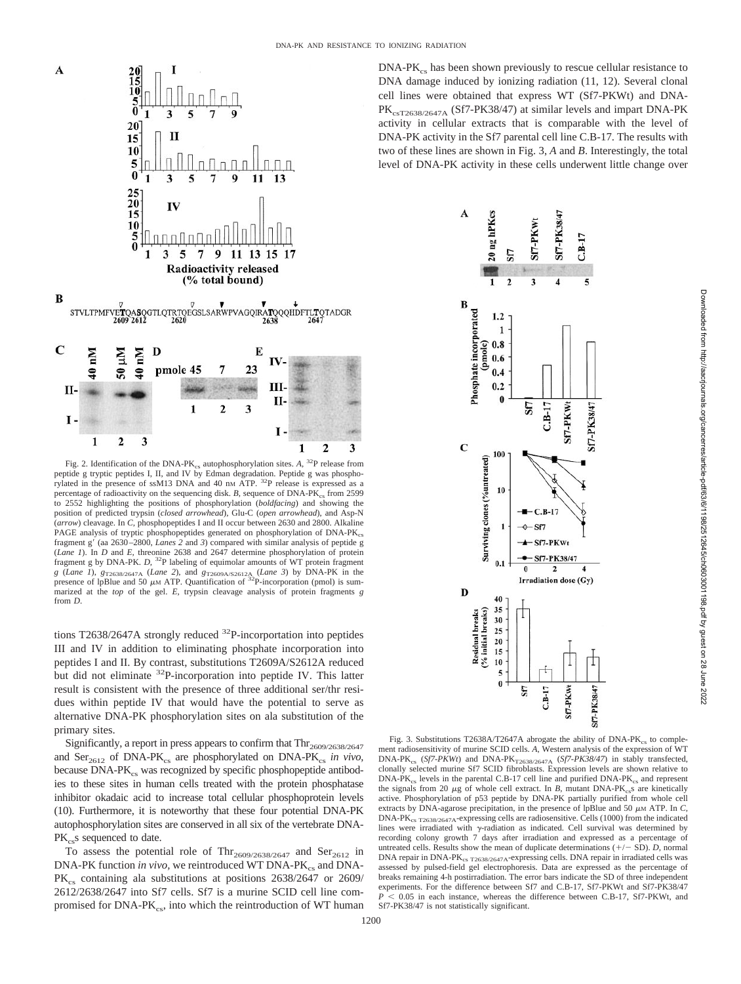

Fig. 2. Identification of the DNA-PK<sub>cs</sub> autophosphorylation sites.  $A$ , <sup>32</sup>P release from peptide g tryptic peptides I, II, and IV by Edman degradation. Peptide g was phosphorylated in the presence of ssM13 DNA and 40 nm ATP. <sup>32</sup>P release is expressed as a percentage of radioactivity on the sequencing disk.  $B$ , sequence of DNA-PK<sub>cs</sub> from 2599 to 2552 highlighting the positions of phosphorylation (*boldfacing*) and showing the position of predicted trypsin (*closed arrowhead*), Glu-C (*open arrowhead*), and Asp-N (*arrow*) cleavage. In *C,* phosphopeptides I and II occur between 2630 and 2800. Alkaline PAGE analysis of tryptic phosphopeptides generated on phosphorylation of DNA-PK<sub>cs</sub> fragment g' (aa 2630–2800, *Lanes 2* and 3) compared with similar analysis of peptide g (*Lane 1*). In *D* and *E,* threonine 2638 and 2647 determine phosphorylation of protein fragment g by DNA-PK. *D,* 32P labeling of equimolar amounts of WT protein fragment *g* (*Lane 1*),  $g_{T2638/2647A}$  (*Lane 2*), and  $g_{T2609A/2612A}$  (*Lane 3*) by DNA-PK in the presence of lpBlue and 50  $\mu$ M ATP. Quantification of <sup>32</sup>P-incorporation (pmol) is summarized at the *top* of the gel. *E,* trypsin cleavage analysis of protein fragments *g* from *D*.

tions T2638/2647A strongly reduced  $^{32}P$ -incorportation into peptides III and IV in addition to eliminating phosphate incorporation into peptides I and II. By contrast, substitutions T2609A/S2612A reduced but did not eliminate <sup>32</sup>P-incorporation into peptide IV. This latter result is consistent with the presence of three additional ser/thr residues within peptide IV that would have the potential to serve as alternative DNA-PK phosphorylation sites on ala substitution of the primary sites.

Significantly, a report in press appears to confirm that  $\text{Thr}_{2609/2638/2647}$ and  $\text{Ser}_{2612}$  of DNA-PK<sub>cs</sub> are phosphorylated on DNA-PK<sub>cs</sub> in vivo, because  $DNA-PK<sub>cs</sub>$  was recognized by specific phosphopeptide antibodies to these sites in human cells treated with the protein phosphatase inhibitor okadaic acid to increase total cellular phosphoprotein levels (10). Furthermore, it is noteworthy that these four potential DNA-PK autophosphorylation sites are conserved in all six of the vertebrate DNA- $PK_{cs}$ s sequenced to date.

To assess the potential role of Thr<sub>2609/2638/2647</sub> and Ser<sub>2612</sub> in DNA-PK function *in vivo*, we reintroduced WT DNA-PK<sub>cs</sub> and DNA-PK<sub>cs</sub> containing ala substitutions at positions 2638/2647 or 2609/ 2612/2638/2647 into Sf7 cells. Sf7 is a murine SCID cell line compromised for  $DNA-PK_{cs}$ , into which the reintroduction of WT human

 $DNA-PK_{cs}$  has been shown previously to rescue cellular resistance to DNA damage induced by ionizing radiation (11, 12). Several clonal cell lines were obtained that express WT (Sf7-PKWt) and DNA-PK<sub>csT2638/2647A</sub> (Sf7-PK38/47) at similar levels and impart DNA-PK activity in cellular extracts that is comparable with the level of DNA-PK activity in the Sf7 parental cell line C.B-17. The results with two of these lines are shown in Fig. 3, *A* and *B*. Interestingly, the total level of DNA-PK activity in these cells underwent little change over



Fig. 3. Substitutions T2638A/T2647A abrogate the ability of  $DNA-PK_{cs}$  to complement radiosensitivity of murine SCID cells. *A,* Western analysis of the expression of WT DNA-PK<sub>cs</sub> (*Sf7-PKWt*) and DNA-PK<sub>T2638/2647A (*Sf7-PK38/47*) in stably transfected, clonally selected murine Sf7 SCID fibroblasts. Expression levels are shown relative to</sub>  $DNA-PK_{cs}$  levels in the parental C.B-17 cell line and purified  $DNA-PK_{cs}$  and represent the signals from 20  $\mu$ g of whole cell extract. In *B*, mutant DNA-PK<sub>cs</sub>s are kinetically active. Phosphorylation of p53 peptide by DNA-PK partially purified from whole cell extracts by DNA-agarose precipitation, in the presence of lpBlue and 50  $\mu$ M ATP. In *C*, DNA-PK<sub>cs T2638/2647A</sub>-expressing cells are radiosensitive. Cells (1000) from the indicated lines were irradiated with  $\gamma$ -radiation as indicated. Cell survival was determined by recording colony growth 7 days after irradiation and expressed as a percentage of untreated cells. Results show the mean of duplicate determinations  $(+/- SD)$ . *D*, normal DNA repair in DNA-P $K_{cs}$  T<sub>2638/2647A</sub>-expressing cells. DNA repair in irradiated cells was assessed by pulsed-field gel electrophoresis. Data are expressed as the percentage of breaks remaining 4-h postirradiation. The error bars indicate the SD of three independent experiments. For the difference between Sf7 and C.B-17, Sf7-PKWt and Sf7-PK38/47  $P$   $\leq$  0.05 in each instance, whereas the difference between C.B-17, Sf7-PKWt, and Sf7-PK38/47 is not statistically significant.